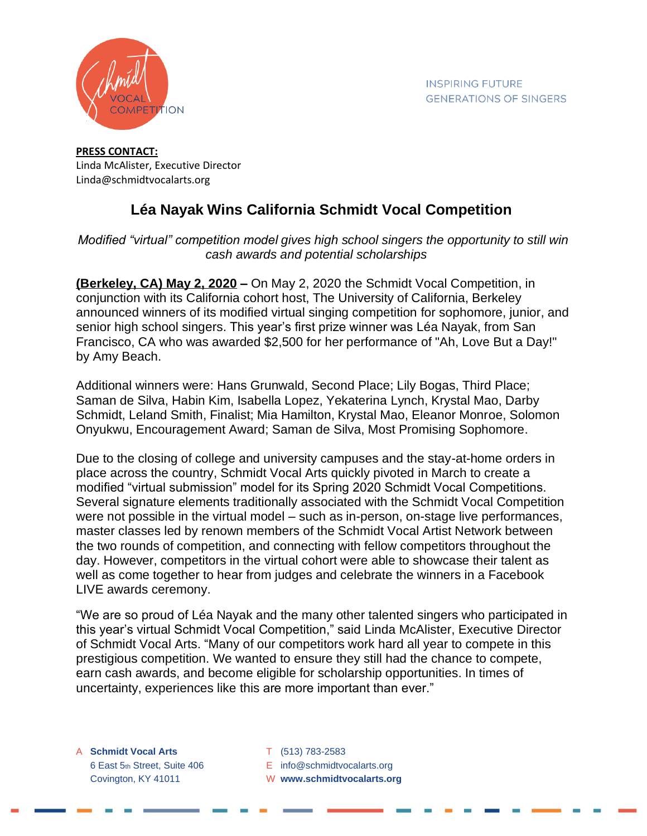

## **PRESS CONTACT:** Linda McAlister, Executive Director Linda@schmidtvocalarts.org

## **Léa Nayak Wins California Schmidt Vocal Competition**

## *Modified "virtual" competition model gives high school singers the opportunity to still win cash awards and potential scholarships*

**(Berkeley, CA) May 2, 2020 –** On May 2, 2020 the Schmidt Vocal Competition, in conjunction with its California cohort host, The University of California, Berkeley announced winners of its modified virtual singing competition for sophomore, junior, and senior high school singers. This year's first prize winner was Léa Nayak, from San Francisco, CA who was awarded \$2,500 for her performance of "Ah, Love But a Day!" by Amy Beach.

Additional winners were: Hans Grunwald, Second Place; Lily Bogas, Third Place; Saman de Silva, Habin Kim, Isabella Lopez, Yekaterina Lynch, Krystal Mao, Darby Schmidt, Leland Smith, Finalist; Mia Hamilton, Krystal Mao, Eleanor Monroe, Solomon Onyukwu, Encouragement Award; Saman de Silva, Most Promising Sophomore.

Due to the closing of college and university campuses and the stay-at-home orders in place across the country, Schmidt Vocal Arts quickly pivoted in March to create a modified "virtual submission" model for its Spring 2020 Schmidt Vocal Competitions. Several signature elements traditionally associated with the Schmidt Vocal Competition were not possible in the virtual model – such as in-person, on-stage live performances, master classes led by renown members of the Schmidt Vocal Artist Network between the two rounds of competition, and connecting with fellow competitors throughout the day. However, competitors in the virtual cohort were able to showcase their talent as well as come together to hear from judges and celebrate the winners in a Facebook LIVE awards ceremony.

"We are so proud of Léa Nayak and the many other talented singers who participated in this year's virtual Schmidt Vocal Competition," said Linda McAlister, Executive Director of Schmidt Vocal Arts. "Many of our competitors work hard all year to compete in this prestigious competition. We wanted to ensure they still had the chance to compete, earn cash awards, and become eligible for scholarship opportunities. In times of uncertainty, experiences like this are more important than ever."

A **Schmidt Vocal Arts** T (513) 783-2583 6 East 5th Street, Suite 406 E info@schmidtvocalarts.org Covington, KY 41011 W **www.schmidtvocalarts.org**